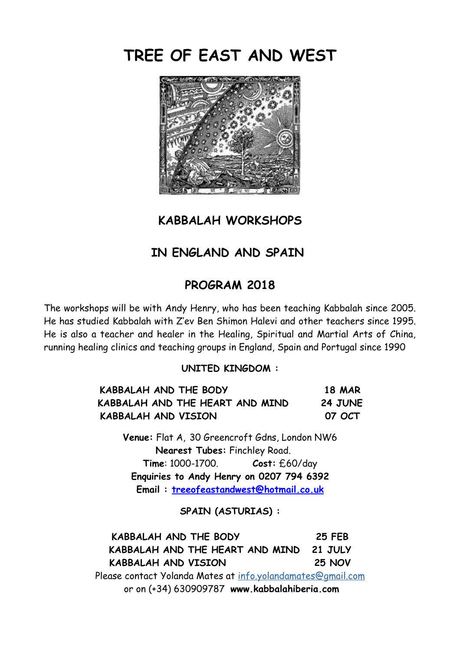# **TREE OF EAST AND WEST**



## **KABBALAH WORKSHOPS**

# **IN ENGLAND AND SPAIN**

## **PROGRAM 2018**

The workshops will be with Andy Henry, who has been teaching Kabbalah since 2005. He has studied Kabbalah with Z'ev Ben Shimon Halevi and other teachers since 1995. He is also a teacher and healer in the Healing, Spiritual and Martial Arts of China, running healing clinics and teaching groups in England, Spain and Portugal since 1990

#### **UNITED KINGDOM :**

| KABBALAH AND THE BODY<br>KABBALAH AND THE HEART AND MIND | <b>18 MAR</b><br><b>24 JUNE</b> |
|----------------------------------------------------------|---------------------------------|
|                                                          |                                 |

**Venue:** Flat A, 30 Greencroft Gdns, London NW6 **Nearest Tubes:** Finchley Road. **Time**: 1000-1700. **Cost:** £60/day **Enquiries to Andy Henry on 0207 794 6392 Email : [treeofeastandwest@hotmail.co.uk](mailto:treeofeastandwest@hotmail.co.uk)**

#### **SPAIN (ASTURIAS) :**

**KABBALAH AND THE BODY 25 FEB KABBALAH AND THE HEART AND MIND 21 JULY KABBALAH AND VISION 25 NOV** Please contact Yolanda Mates at [info.yolandamates@gmail.com](mailto:info.yolandamates@gmail.com) or on (+34) 630909787 **www.kabbalahiberia.com**